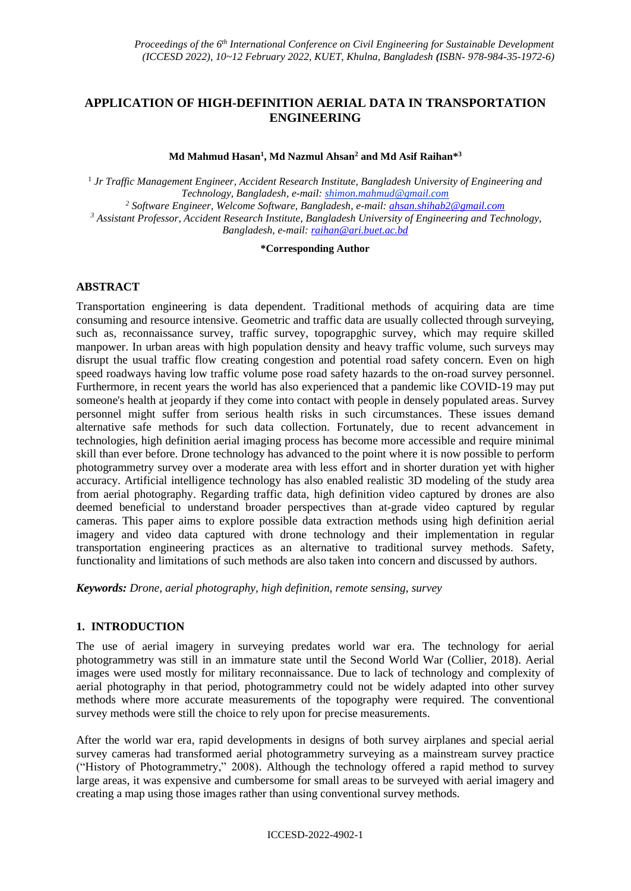# **APPLICATION OF HIGH-DEFINITION AERIAL DATA IN TRANSPORTATION ENGINEERING**

**Md Mahmud Hasan<sup>1</sup> , Md Nazmul Ahsan<sup>2</sup> and Md Asif Raihan\* 3**

1 *Jr Traffic Management Engineer, Accident Research Institute, Bangladesh University of Engineering and Technology, Bangladesh, e-mail: shimon.mahmud@gmail.com <sup>2</sup> Software Engineer, Welcome Software, Bangladesh, e-mail[: ahsan.shihab2@gmail.com](mailto:ahsan.shihab2@gmail.com) <sup>3</sup> Assistant Professor, Accident Research Institute, Bangladesh University of Engineering and Technology, Bangladesh, e-mail[: raihan@ari.buet.ac.bd](mailto:raihan@ari.buet.ac.bd)*

**\*Corresponding Author**

### **ABSTRACT**

Transportation engineering is data dependent. Traditional methods of acquiring data are time consuming and resource intensive. Geometric and traffic data are usually collected through surveying, such as, reconnaissance survey, traffic survey, topograpghic survey, which may require skilled manpower. In urban areas with high population density and heavy traffic volume, such surveys may disrupt the usual traffic flow creating congestion and potential road safety concern. Even on high speed roadways having low traffic volume pose road safety hazards to the on-road survey personnel. Furthermore, in recent years the world has also experienced that a pandemic like COVID-19 may put someone's health at jeopardy if they come into contact with people in densely populated areas. Survey personnel might suffer from serious health risks in such circumstances. These issues demand alternative safe methods for such data collection. Fortunately, due to recent advancement in technologies, high definition aerial imaging process has become more accessible and require minimal skill than ever before. Drone technology has advanced to the point where it is now possible to perform photogrammetry survey over a moderate area with less effort and in shorter duration yet with higher accuracy. Artificial intelligence technology has also enabled realistic 3D modeling of the study area from aerial photography. Regarding traffic data, high definition video captured by drones are also deemed beneficial to understand broader perspectives than at-grade video captured by regular cameras. This paper aims to explore possible data extraction methods using high definition aerial imagery and video data captured with drone technology and their implementation in regular transportation engineering practices as an alternative to traditional survey methods. Safety, functionality and limitations of such methods are also taken into concern and discussed by authors.

*Keywords: Drone, aerial photography, high definition, remote sensing, survey*

#### **1. INTRODUCTION**

The use of aerial imagery in surveying predates world war era. The technology for aerial photogrammetry was still in an immature state until the Second World War (Collier, 2018). Aerial images were used mostly for military reconnaissance. Due to lack of technology and complexity of aerial photography in that period, photogrammetry could not be widely adapted into other survey methods where more accurate measurements of the topography were required. The conventional survey methods were still the choice to rely upon for precise measurements.

After the world war era, rapid developments in designs of both survey airplanes and special aerial survey cameras had transformed aerial photogrammetry surveying as a mainstream survey practice ("History of Photogrammetry," 2008). Although the technology offered a rapid method to survey large areas, it was expensive and cumbersome for small areas to be surveyed with aerial imagery and creating a map using those images rather than using conventional survey methods.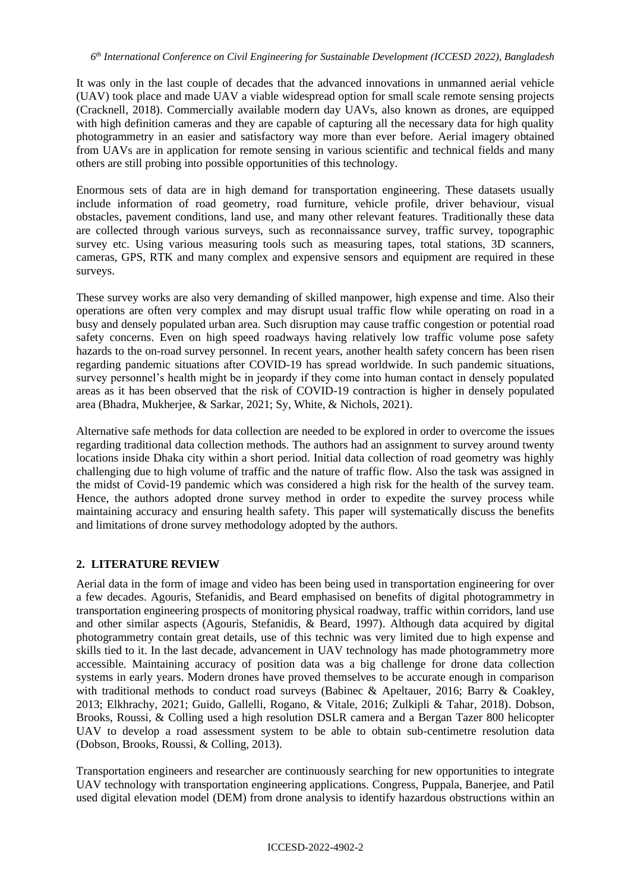It was only in the last couple of decades that the advanced innovations in unmanned aerial vehicle (UAV) took place and made UAV a viable widespread option for small scale remote sensing projects (Cracknell, 2018). Commercially available modern day UAVs, also known as drones, are equipped with high definition cameras and they are capable of capturing all the necessary data for high quality photogrammetry in an easier and satisfactory way more than ever before. Aerial imagery obtained from UAVs are in application for remote sensing in various scientific and technical fields and many others are still probing into possible opportunities of this technology.

Enormous sets of data are in high demand for transportation engineering. These datasets usually include information of road geometry, road furniture, vehicle profile, driver behaviour, visual obstacles, pavement conditions, land use, and many other relevant features. Traditionally these data are collected through various surveys, such as reconnaissance survey, traffic survey, topographic survey etc. Using various measuring tools such as measuring tapes, total stations, 3D scanners, cameras, GPS, RTK and many complex and expensive sensors and equipment are required in these surveys.

These survey works are also very demanding of skilled manpower, high expense and time. Also their operations are often very complex and may disrupt usual traffic flow while operating on road in a busy and densely populated urban area. Such disruption may cause traffic congestion or potential road safety concerns. Even on high speed roadways having relatively low traffic volume pose safety hazards to the on-road survey personnel. In recent years, another health safety concern has been risen regarding pandemic situations after COVID-19 has spread worldwide. In such pandemic situations, survey personnel's health might be in jeopardy if they come into human contact in densely populated areas as it has been observed that the risk of COVID-19 contraction is higher in densely populated area (Bhadra, Mukherjee, & Sarkar, 2021; Sy, White, & Nichols, 2021).

Alternative safe methods for data collection are needed to be explored in order to overcome the issues regarding traditional data collection methods. The authors had an assignment to survey around twenty locations inside Dhaka city within a short period. Initial data collection of road geometry was highly challenging due to high volume of traffic and the nature of traffic flow. Also the task was assigned in the midst of Covid-19 pandemic which was considered a high risk for the health of the survey team. Hence, the authors adopted drone survey method in order to expedite the survey process while maintaining accuracy and ensuring health safety. This paper will systematically discuss the benefits and limitations of drone survey methodology adopted by the authors.

# **2. LITERATURE REVIEW**

Aerial data in the form of image and video has been being used in transportation engineering for over a few decades. Agouris, Stefanidis, and Beard emphasised on benefits of digital photogrammetry in transportation engineering prospects of monitoring physical roadway, traffic within corridors, land use and other similar aspects (Agouris, Stefanidis, & Beard, 1997). Although data acquired by digital photogrammetry contain great details, use of this technic was very limited due to high expense and skills tied to it. In the last decade, advancement in UAV technology has made photogrammetry more accessible. Maintaining accuracy of position data was a big challenge for drone data collection systems in early years. Modern drones have proved themselves to be accurate enough in comparison with traditional methods to conduct road surveys (Babinec & Apeltauer, 2016; Barry & Coakley, 2013; Elkhrachy, 2021; Guido, Gallelli, Rogano, & Vitale, 2016; Zulkipli & Tahar, 2018). Dobson, Brooks, Roussi, & Colling used a high resolution DSLR camera and a Bergan Tazer 800 helicopter UAV to develop a road assessment system to be able to obtain sub-centimetre resolution data (Dobson, Brooks, Roussi, & Colling, 2013).

Transportation engineers and researcher are continuously searching for new opportunities to integrate UAV technology with transportation engineering applications. Congress, Puppala, Banerjee, and Patil used digital elevation model (DEM) from drone analysis to identify hazardous obstructions within an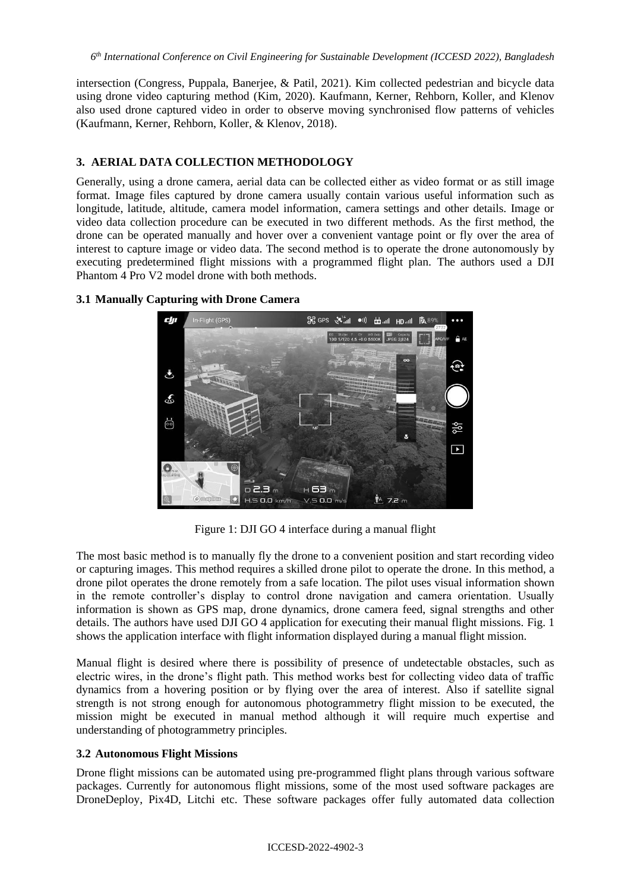intersection (Congress, Puppala, Banerjee, & Patil, 2021). Kim collected pedestrian and bicycle data using drone video capturing method (Kim, 2020). Kaufmann, Kerner, Rehborn, Koller, and Klenov also used drone captured video in order to observe moving synchronised flow patterns of vehicles (Kaufmann, Kerner, Rehborn, Koller, & Klenov, 2018).

### **3. AERIAL DATA COLLECTION METHODOLOGY**

Generally, using a drone camera, aerial data can be collected either as video format or as still image format. Image files captured by drone camera usually contain various useful information such as longitude, latitude, altitude, camera model information, camera settings and other details. Image or video data collection procedure can be executed in two different methods. As the first method, the drone can be operated manually and hover over a convenient vantage point or fly over the area of interest to capture image or video data. The second method is to operate the drone autonomously by executing predetermined flight missions with a programmed flight plan. The authors used a DJI Phantom 4 Pro V2 model drone with both methods.



### **3.1 Manually Capturing with Drone Camera**

Figure 1: DJI GO 4 interface during a manual flight

The most basic method is to manually fly the drone to a convenient position and start recording video or capturing images. This method requires a skilled drone pilot to operate the drone. In this method, a drone pilot operates the drone remotely from a safe location. The pilot uses visual information shown in the remote controller's display to control drone navigation and camera orientation. Usually information is shown as GPS map, drone dynamics, drone camera feed, signal strengths and other details. The authors have used DJI GO 4 application for executing their manual flight missions. Fig. 1 shows the application interface with flight information displayed during a manual flight mission.

Manual flight is desired where there is possibility of presence of undetectable obstacles, such as electric wires, in the drone's flight path. This method works best for collecting video data of traffic dynamics from a hovering position or by flying over the area of interest. Also if satellite signal strength is not strong enough for autonomous photogrammetry flight mission to be executed, the mission might be executed in manual method although it will require much expertise and understanding of photogrammetry principles.

#### **3.2 Autonomous Flight Missions**

Drone flight missions can be automated using pre-programmed flight plans through various software packages. Currently for autonomous flight missions, some of the most used software packages are DroneDeploy, Pix4D, Litchi etc. These software packages offer fully automated data collection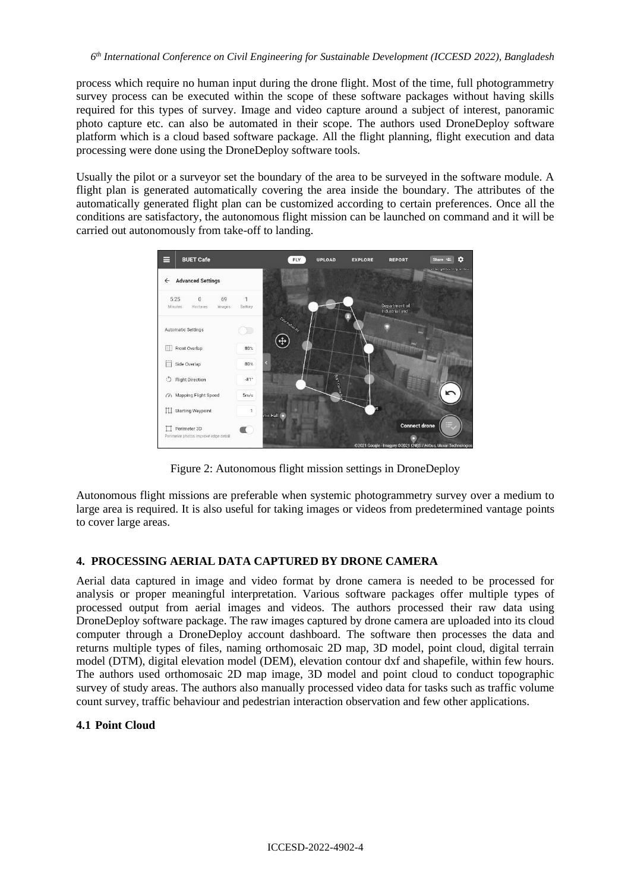process which require no human input during the drone flight. Most of the time, full photogrammetry survey process can be executed within the scope of these software packages without having skills required for this types of survey. Image and video capture around a subject of interest, panoramic photo capture etc. can also be automated in their scope. The authors used DroneDeploy software platform which is a cloud based software package. All the flight planning, flight execution and data processing were done using the DroneDeploy software tools.

Usually the pilot or a surveyor set the boundary of the area to be surveyed in the software module. A flight plan is generated automatically covering the area inside the boundary. The attributes of the automatically generated flight plan can be customized according to certain preferences. Once all the conditions are satisfactory, the autonomous flight mission can be launched on command and it will be carried out autonomously from take-off to landing.



Figure 2: Autonomous flight mission settings in DroneDeploy

Autonomous flight missions are preferable when systemic photogrammetry survey over a medium to large area is required. It is also useful for taking images or videos from predetermined vantage points to cover large areas.

# **4. PROCESSING AERIAL DATA CAPTURED BY DRONE CAMERA**

Aerial data captured in image and video format by drone camera is needed to be processed for analysis or proper meaningful interpretation. Various software packages offer multiple types of processed output from aerial images and videos. The authors processed their raw data using DroneDeploy software package. The raw images captured by drone camera are uploaded into its cloud computer through a DroneDeploy account dashboard. The software then processes the data and returns multiple types of files, naming orthomosaic 2D map, 3D model, point cloud, digital terrain model (DTM), digital elevation model (DEM), elevation contour dxf and shapefile, within few hours. The authors used orthomosaic 2D map image, 3D model and point cloud to conduct topographic survey of study areas. The authors also manually processed video data for tasks such as traffic volume count survey, traffic behaviour and pedestrian interaction observation and few other applications.

# **4.1 Point Cloud**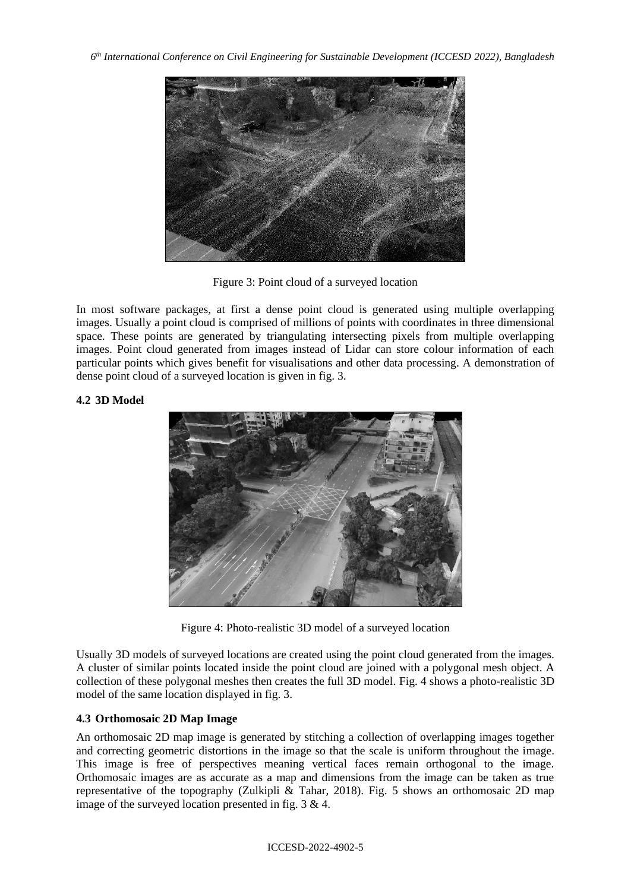

Figure 3: Point cloud of a surveyed location

In most software packages, at first a dense point cloud is generated using multiple overlapping images. Usually a point cloud is comprised of millions of points with coordinates in three dimensional space. These points are generated by triangulating intersecting pixels from multiple overlapping images. Point cloud generated from images instead of Lidar can store colour information of each particular points which gives benefit for visualisations and other data processing. A demonstration of dense point cloud of a surveyed location is given in fig. 3.

# **4.2 3D Model**



Figure 4: Photo-realistic 3D model of a surveyed location

Usually 3D models of surveyed locations are created using the point cloud generated from the images. A cluster of similar points located inside the point cloud are joined with a polygonal mesh object. A collection of these polygonal meshes then creates the full 3D model. Fig. 4 shows a photo-realistic 3D model of the same location displayed in fig. 3.

# **4.3 Orthomosaic 2D Map Image**

An orthomosaic 2D map image is generated by stitching a collection of overlapping images together and correcting geometric distortions in the image so that the scale is uniform throughout the image. This image is free of perspectives meaning vertical faces remain orthogonal to the image. Orthomosaic images are as accurate as a map and dimensions from the image can be taken as true representative of the topography (Zulkipli & Tahar, 2018). Fig. 5 shows an orthomosaic 2D map image of the surveyed location presented in fig. 3 & 4.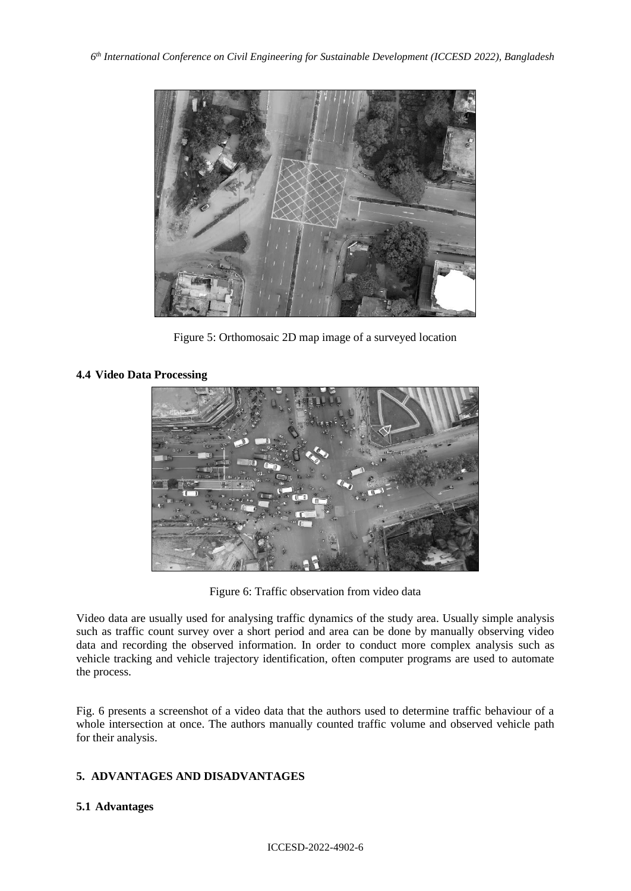

Figure 5: Orthomosaic 2D map image of a surveyed location

# **4.4 Video Data Processing**



Figure 6: Traffic observation from video data

Video data are usually used for analysing traffic dynamics of the study area. Usually simple analysis such as traffic count survey over a short period and area can be done by manually observing video data and recording the observed information. In order to conduct more complex analysis such as vehicle tracking and vehicle trajectory identification, often computer programs are used to automate the process.

Fig. 6 presents a screenshot of a video data that the authors used to determine traffic behaviour of a whole intersection at once. The authors manually counted traffic volume and observed vehicle path for their analysis.

# **5. ADVANTAGES AND DISADVANTAGES**

# **5.1 Advantages**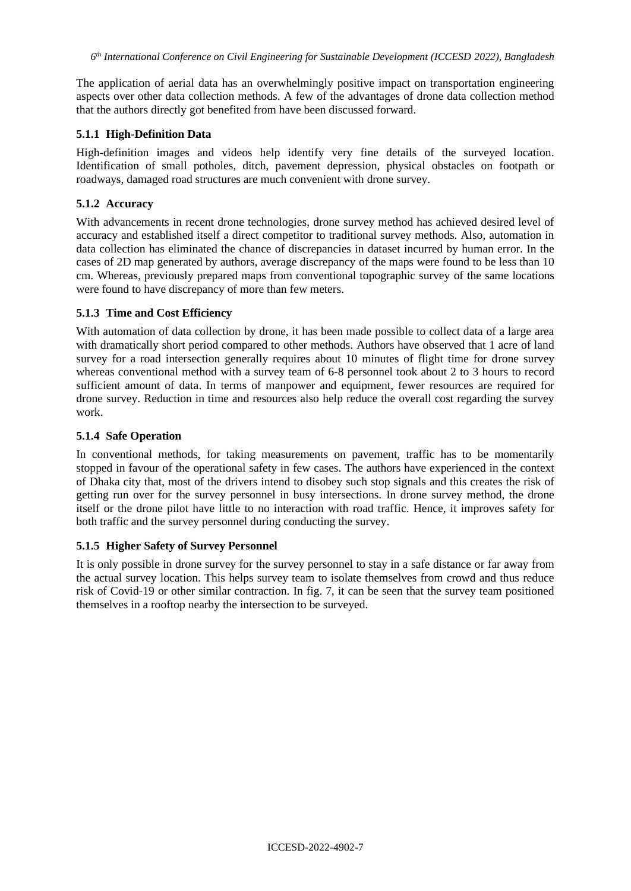The application of aerial data has an overwhelmingly positive impact on transportation engineering aspects over other data collection methods. A few of the advantages of drone data collection method that the authors directly got benefited from have been discussed forward.

#### **5.1.1 High-Definition Data**

High-definition images and videos help identify very fine details of the surveyed location. Identification of small potholes, ditch, pavement depression, physical obstacles on footpath or roadways, damaged road structures are much convenient with drone survey.

### **5.1.2 Accuracy**

With advancements in recent drone technologies, drone survey method has achieved desired level of accuracy and established itself a direct competitor to traditional survey methods. Also, automation in data collection has eliminated the chance of discrepancies in dataset incurred by human error. In the cases of 2D map generated by authors, average discrepancy of the maps were found to be less than 10 cm. Whereas, previously prepared maps from conventional topographic survey of the same locations were found to have discrepancy of more than few meters.

### **5.1.3 Time and Cost Efficiency**

With automation of data collection by drone, it has been made possible to collect data of a large area with dramatically short period compared to other methods. Authors have observed that 1 acre of land survey for a road intersection generally requires about 10 minutes of flight time for drone survey whereas conventional method with a survey team of 6-8 personnel took about 2 to 3 hours to record sufficient amount of data. In terms of manpower and equipment, fewer resources are required for drone survey. Reduction in time and resources also help reduce the overall cost regarding the survey work.

### **5.1.4 Safe Operation**

In conventional methods, for taking measurements on pavement, traffic has to be momentarily stopped in favour of the operational safety in few cases. The authors have experienced in the context of Dhaka city that, most of the drivers intend to disobey such stop signals and this creates the risk of getting run over for the survey personnel in busy intersections. In drone survey method, the drone itself or the drone pilot have little to no interaction with road traffic. Hence, it improves safety for both traffic and the survey personnel during conducting the survey.

# **5.1.5 Higher Safety of Survey Personnel**

It is only possible in drone survey for the survey personnel to stay in a safe distance or far away from the actual survey location. This helps survey team to isolate themselves from crowd and thus reduce risk of Covid-19 or other similar contraction. In fig. 7, it can be seen that the survey team positioned themselves in a rooftop nearby the intersection to be surveyed.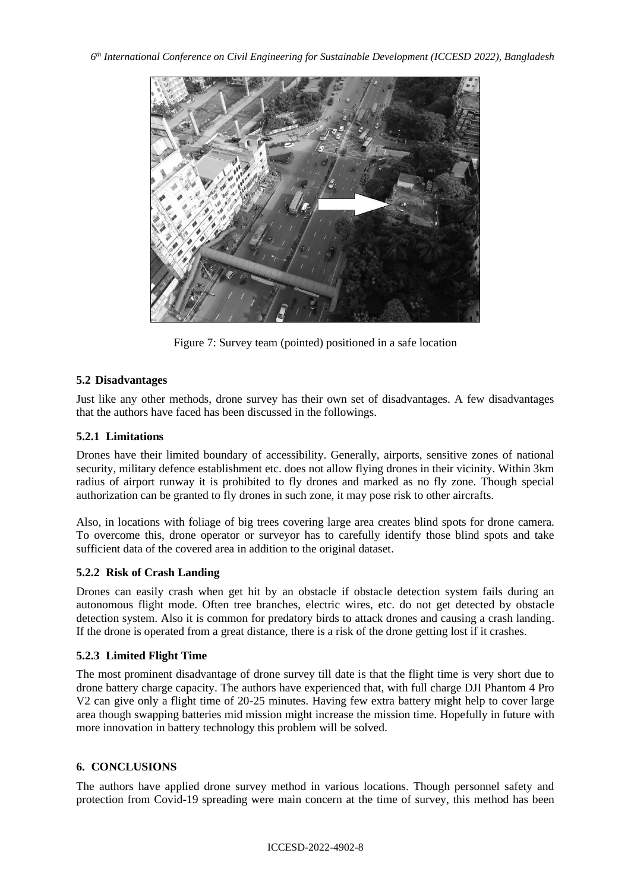

Figure 7: Survey team (pointed) positioned in a safe location

# **5.2 Disadvantages**

Just like any other methods, drone survey has their own set of disadvantages. A few disadvantages that the authors have faced has been discussed in the followings.

# **5.2.1 Limitations**

Drones have their limited boundary of accessibility. Generally, airports, sensitive zones of national security, military defence establishment etc. does not allow flying drones in their vicinity. Within 3km radius of airport runway it is prohibited to fly drones and marked as no fly zone. Though special authorization can be granted to fly drones in such zone, it may pose risk to other aircrafts.

Also, in locations with foliage of big trees covering large area creates blind spots for drone camera. To overcome this, drone operator or surveyor has to carefully identify those blind spots and take sufficient data of the covered area in addition to the original dataset.

# **5.2.2 Risk of Crash Landing**

Drones can easily crash when get hit by an obstacle if obstacle detection system fails during an autonomous flight mode. Often tree branches, electric wires, etc. do not get detected by obstacle detection system. Also it is common for predatory birds to attack drones and causing a crash landing. If the drone is operated from a great distance, there is a risk of the drone getting lost if it crashes.

# **5.2.3 Limited Flight Time**

The most prominent disadvantage of drone survey till date is that the flight time is very short due to drone battery charge capacity. The authors have experienced that, with full charge DJI Phantom 4 Pro V2 can give only a flight time of 20-25 minutes. Having few extra battery might help to cover large area though swapping batteries mid mission might increase the mission time. Hopefully in future with more innovation in battery technology this problem will be solved.

# **6. CONCLUSIONS**

The authors have applied drone survey method in various locations. Though personnel safety and protection from Covid-19 spreading were main concern at the time of survey, this method has been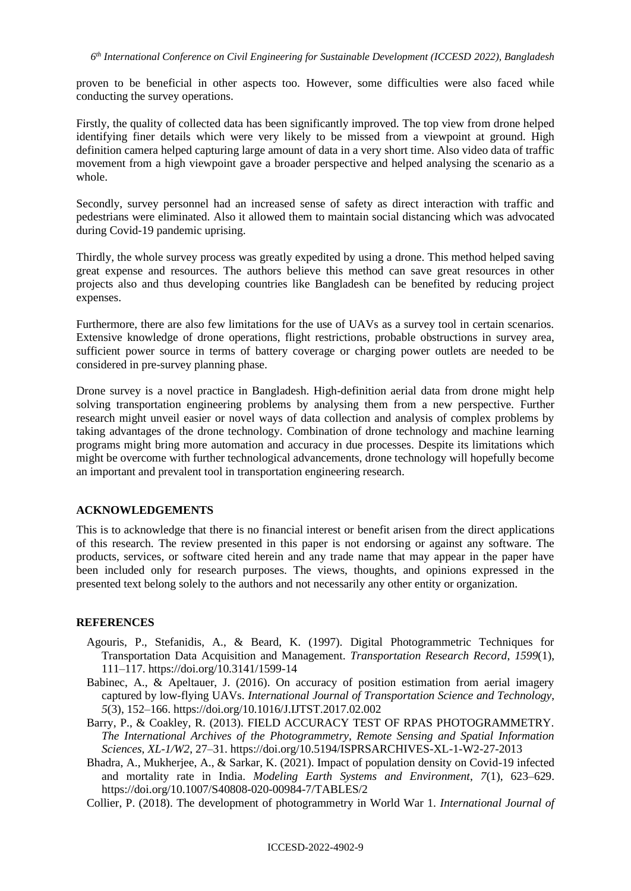proven to be beneficial in other aspects too. However, some difficulties were also faced while conducting the survey operations.

Firstly, the quality of collected data has been significantly improved. The top view from drone helped identifying finer details which were very likely to be missed from a viewpoint at ground. High definition camera helped capturing large amount of data in a very short time. Also video data of traffic movement from a high viewpoint gave a broader perspective and helped analysing the scenario as a whole.

Secondly, survey personnel had an increased sense of safety as direct interaction with traffic and pedestrians were eliminated. Also it allowed them to maintain social distancing which was advocated during Covid-19 pandemic uprising.

Thirdly, the whole survey process was greatly expedited by using a drone. This method helped saving great expense and resources. The authors believe this method can save great resources in other projects also and thus developing countries like Bangladesh can be benefited by reducing project expenses.

Furthermore, there are also few limitations for the use of UAVs as a survey tool in certain scenarios. Extensive knowledge of drone operations, flight restrictions, probable obstructions in survey area, sufficient power source in terms of battery coverage or charging power outlets are needed to be considered in pre-survey planning phase.

Drone survey is a novel practice in Bangladesh. High-definition aerial data from drone might help solving transportation engineering problems by analysing them from a new perspective. Further research might unveil easier or novel ways of data collection and analysis of complex problems by taking advantages of the drone technology. Combination of drone technology and machine learning programs might bring more automation and accuracy in due processes. Despite its limitations which might be overcome with further technological advancements, drone technology will hopefully become an important and prevalent tool in transportation engineering research.

#### **ACKNOWLEDGEMENTS**

This is to acknowledge that there is no financial interest or benefit arisen from the direct applications of this research. The review presented in this paper is not endorsing or against any software. The products, services, or software cited herein and any trade name that may appear in the paper have been included only for research purposes. The views, thoughts, and opinions expressed in the presented text belong solely to the authors and not necessarily any other entity or organization.

#### **REFERENCES**

- Agouris, P., Stefanidis, A., & Beard, K. (1997). Digital Photogrammetric Techniques for Transportation Data Acquisition and Management. *Transportation Research Record*, *1599*(1), 111–117. https://doi.org/10.3141/1599-14
- Babinec, A., & Apeltauer, J. (2016). On accuracy of position estimation from aerial imagery captured by low-flying UAVs. *International Journal of Transportation Science and Technology*, *5*(3), 152–166. https://doi.org/10.1016/J.IJTST.2017.02.002
- Barry, P., & Coakley, R. (2013). FIELD ACCURACY TEST OF RPAS PHOTOGRAMMETRY. *The International Archives of the Photogrammetry, Remote Sensing and Spatial Information Sciences*, *XL*-*1/W2*, 27–31. https://doi.org/10.5194/ISPRSARCHIVES-XL-1-W2-27-2013
- Bhadra, A., Mukherjee, A., & Sarkar, K. (2021). Impact of population density on Covid-19 infected and mortality rate in India. *Modeling Earth Systems and Environment*, *7*(1), 623–629. https://doi.org/10.1007/S40808-020-00984-7/TABLES/2
- Collier, P. (2018). The development of photogrammetry in World War 1. *International Journal of*